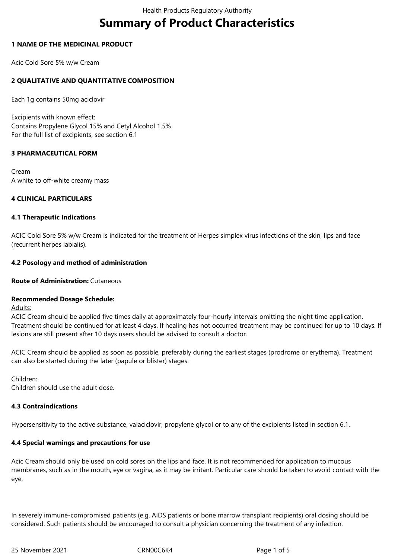# **Summary of Product Characteristics**

## **1 NAME OF THE MEDICINAL PRODUCT**

Acic Cold Sore 5% w/w Cream

# **2 QUALITATIVE AND QUANTITATIVE COMPOSITION**

Each 1g contains 50mg aciclovir

Excipients with known effect: Contains Propylene Glycol 15% and Cetyl Alcohol 1.5% For the full list of excipients, see section 6.1

## **3 PHARMACEUTICAL FORM**

Cream A white to off-white creamy mass

## **4 CLINICAL PARTICULARS**

## **4.1 Therapeutic Indications**

ACIC Cold Sore 5% w/w Cream is indicated for the treatment of Herpes simplex virus infections of the skin, lips and face (recurrent herpes labialis).

## **4.2 Posology and method of administration**

# **Route of Administration:** Cutaneous

# **Recommended Dosage Schedule:**

Adults:

ACIC Cream should be applied five times daily at approximately four-hourly intervals omitting the night time application. Treatment should be continued for at least 4 days. If healing has not occurred treatment may be continued for up to 10 days. If lesions are still present after 10 days users should be advised to consult a doctor.

ACIC Cream should be applied as soon as possible, preferably during the earliest stages (prodrome or erythema). Treatment can also be started during the later (papule or blister) stages.

Children:

Children should use the adult dose.

## **4.3 Contraindications**

Hypersensitivity to the active substance, valaciclovir, propylene glycol or to any of the excipients listed in section 6.1.

# **4.4 Special warnings and precautions for use**

Acic Cream should only be used on cold sores on the lips and face. It is not recommended for application to mucous membranes, such as in the mouth, eye or vagina, as it may be irritant. Particular care should be taken to avoid contact with the eye.

In severely immune-compromised patients (e.g. AIDS patients or bone marrow transplant recipients) oral dosing should be considered. Such patients should be encouraged to consult a physician concerning the treatment of any infection.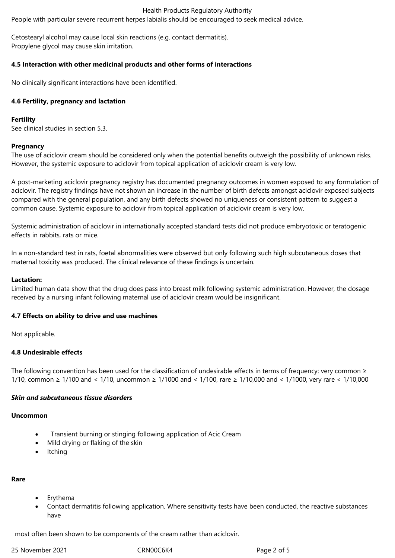#### Health Products Regulatory Authority

People with particular severe recurrent herpes labialis should be encouraged to seek medical advice.

Cetostearyl alcohol may cause local skin reactions (e.g. contact dermatitis). Propylene glycol may cause skin irritation.

#### **4.5 Interaction with other medicinal products and other forms of interactions**

No clinically significant interactions have been identified.

#### **4.6 Fertility, pregnancy and lactation**

## **Fertility**

See clinical studies in section 5.3.

#### **Pregnancy**

The use of aciclovir cream should be considered only when the potential benefits outweigh the possibility of unknown risks. However, the systemic exposure to aciclovir from topical application of aciclovir cream is very low.

A post-marketing aciclovir pregnancy registry has documented pregnancy outcomes in women exposed to any formulation of aciclovir. The registry findings have not shown an increase in the number of birth defects amongst aciclovir exposed subjects compared with the general population, and any birth defects showed no uniqueness or consistent pattern to suggest a common cause. Systemic exposure to aciclovir from topical application of aciclovir cream is very low.

Systemic administration of aciclovir in internationally accepted standard tests did not produce embryotoxic or teratogenic effects in rabbits, rats or mice.

In a non-standard test in rats, foetal abnormalities were observed but only following such high subcutaneous doses that maternal toxicity was produced. The clinical relevance of these findings is uncertain.

#### **Lactation:**

Limited human data show that the drug does pass into breast milk following systemic administration. However, the dosage received by a nursing infant following maternal use of aciclovir cream would be insignificant.

#### **4.7 Effects on ability to drive and use machines**

Not applicable.

## **4.8 Undesirable effects**

The following convention has been used for the classification of undesirable effects in terms of frequency: very common  $\geq$ 1/10, common ≥ 1/100 and < 1/10, uncommon ≥ 1/1000 and < 1/100, rare ≥ 1/10,000 and < 1/1000, very rare < 1/10,000

#### *Skin and subcutaneous tissue disorders*

#### **Uncommon**

- Transient burning or stinging following application of Acic Cream
- Mild drying or flaking of the skin
- Itching

## **Rare**

- Erythema
- Contact dermatitis following application. Where sensitivity tests have been conducted, the reactive substances have

most often been shown to be components of the cream rather than aciclovir.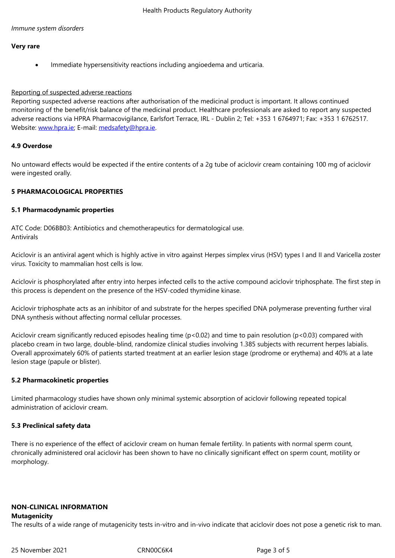#### **Very rare**

Immediate hypersensitivity reactions including angioedema and urticaria.

#### Reporting of suspected adverse reactions

Reporting suspected adverse reactions after authorisation of the medicinal product is important. It allows continued monitoring of the benefit/risk balance of the medicinal product. Healthcare professionals are asked to report any suspected adverse reactions via HPRA Pharmacovigilance, Earlsfort Terrace, IRL - Dublin 2; Tel: +353 1 6764971; Fax: +353 1 6762517. Website: www.hpra.ie; E-mail: medsafety@hpra.ie.

#### **4.9 Overdose**

No unto[ward effects w](http://www.hpra.ie/)ould b[e expected if the ent](mailto:medsafety@hpra.ie)ire contents of a 2g tube of aciclovir cream containing 100 mg of aciclovir were ingested orally.

## **5 PHARMACOLOGICAL PROPERTIES**

## **5.1 Pharmacodynamic properties**

ATC Code: D06BB03: Antibiotics and chemotherapeutics for dermatological use. Antivirals

Aciclovir is an antiviral agent which is highly active in vitro against Herpes simplex virus (HSV) types I and II and Varicella zoster virus. Toxicity to mammalian host cells is low.

Aciclovir is phosphorylated after entry into herpes infected cells to the active compound aciclovir triphosphate. The first step in this process is dependent on the presence of the HSV-coded thymidine kinase.

Aciclovir triphosphate acts as an inhibitor of and substrate for the herpes specified DNA polymerase preventing further viral DNA synthesis without affecting normal cellular processes.

Aciclovir cream significantly reduced episodes healing time (p<0.02) and time to pain resolution (p<0.03) compared with placebo cream in two large, double-blind, randomize clinical studies involving 1.385 subjects with recurrent herpes labialis. Overall approximately 60% of patients started treatment at an earlier lesion stage (prodrome or erythema) and 40% at a late lesion stage (papule or blister).

## **5.2 Pharmacokinetic properties**

Limited pharmacology studies have shown only minimal systemic absorption of aciclovir following repeated topical administration of aciclovir cream.

## **5.3 Preclinical safety data**

There is no experience of the effect of aciclovir cream on human female fertility. In patients with normal sperm count, chronically administered oral aciclovir has been shown to have no clinically significant effect on sperm count, motility or morphology.

## **NON-CLINICAL INFORMATION**

#### **Mutagenicity**

The results of a wide range of mutagenicity tests in-vitro and in-vivo indicate that aciclovir does not pose a genetic risk to man.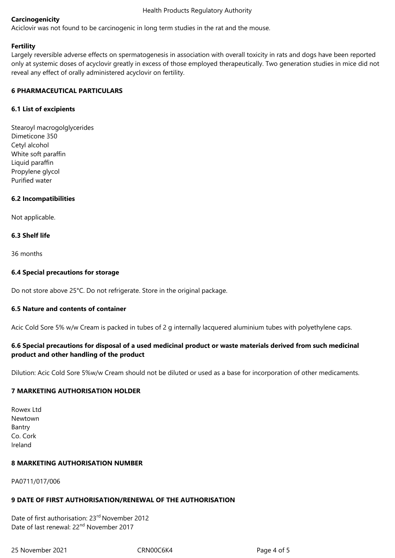## **Carcinogenicity**

Aciclovir was not found to be carcinogenic in long term studies in the rat and the mouse.

## **Fertility**

Largely reversible adverse effects on spermatogenesis in association with overall toxicity in rats and dogs have been reported only at systemic doses of acyclovir greatly in excess of those employed therapeutically. Two generation studies in mice did not reveal any effect of orally administered acyclovir on fertility.

## **6 PHARMACEUTICAL PARTICULARS**

## **6.1 List of excipients**

Stearoyl macrogolglycerides Dimeticone 350 Cetyl alcohol White soft paraffin Liquid paraffin Propylene glycol Purified water

## **6.2 Incompatibilities**

Not applicable.

## **6.3 Shelf life**

36 months

## **6.4 Special precautions for storage**

Do not store above 25°C. Do not refrigerate. Store in the original package.

## **6.5 Nature and contents of container**

Acic Cold Sore 5% w/w Cream is packed in tubes of 2 g internally lacquered aluminium tubes with polyethylene caps.

# **6.6 Special precautions for disposal of a used medicinal product or waste materials derived from such medicinal product and other handling of the product**

Dilution: Acic Cold Sore 5%w/w Cream should not be diluted or used as a base for incorporation of other medicaments.

# **7 MARKETING AUTHORISATION HOLDER**

Rowex Ltd Newtown Bantry Co. Cork Ireland

## **8 MARKETING AUTHORISATION NUMBER**

PA0711/017/006

## **9 DATE OF FIRST AUTHORISATION/RENEWAL OF THE AUTHORISATION**

Date of first authorisation: 23rd November 2012 Date of last renewal: 22<sup>nd</sup> November 2017